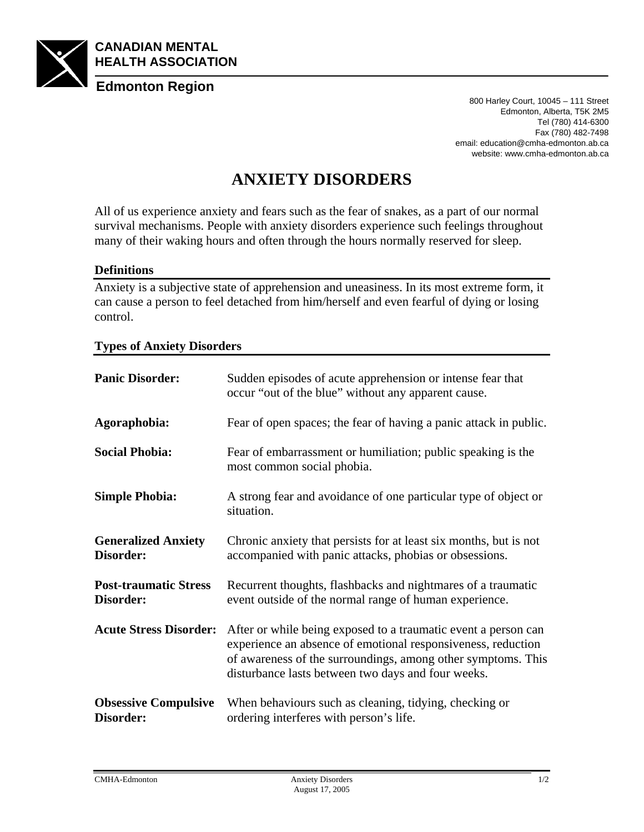

800 Harley Court, 10045 – 111 Street Edmonton, Alberta, T5K 2M5 Tel (780) 414-6300 Fax (780) 482-7498 email: education@cmha-edmonton.ab.ca website: www.cmha-edmonton.ab.ca

## **ANXIETY DISORDERS**

All of us experience anxiety and fears such as the fear of snakes, as a part of our normal survival mechanisms. People with anxiety disorders experience such feelings throughout many of their waking hours and often through the hours normally reserved for sleep.

## **Definitions**

Anxiety is a subjective state of apprehension and uneasiness. In its most extreme form, it can cause a person to feel detached from him/herself and even fearful of dying or losing control.

## **Types of Anxiety Disorders**

| <b>Panic Disorder:</b>                    | Sudden episodes of acute apprehension or intense fear that<br>occur "out of the blue" without any apparent cause.                                                                                                                                    |
|-------------------------------------------|------------------------------------------------------------------------------------------------------------------------------------------------------------------------------------------------------------------------------------------------------|
| Agoraphobia:                              | Fear of open spaces; the fear of having a panic attack in public.                                                                                                                                                                                    |
| <b>Social Phobia:</b>                     | Fear of embarrassment or humiliation; public speaking is the<br>most common social phobia.                                                                                                                                                           |
| <b>Simple Phobia:</b>                     | A strong fear and avoidance of one particular type of object or<br>situation.                                                                                                                                                                        |
| <b>Generalized Anxiety</b><br>Disorder:   | Chronic anxiety that persists for at least six months, but is not<br>accompanied with panic attacks, phobias or obsessions.                                                                                                                          |
| <b>Post-traumatic Stress</b><br>Disorder: | Recurrent thoughts, flashbacks and nightmares of a traumatic<br>event outside of the normal range of human experience.                                                                                                                               |
| <b>Acute Stress Disorder:</b>             | After or while being exposed to a traumatic event a person can<br>experience an absence of emotional responsiveness, reduction<br>of awareness of the surroundings, among other symptoms. This<br>disturbance lasts between two days and four weeks. |
| <b>Obsessive Compulsive</b><br>Disorder:  | When behaviours such as cleaning, tidying, checking or<br>ordering interferes with person's life.                                                                                                                                                    |